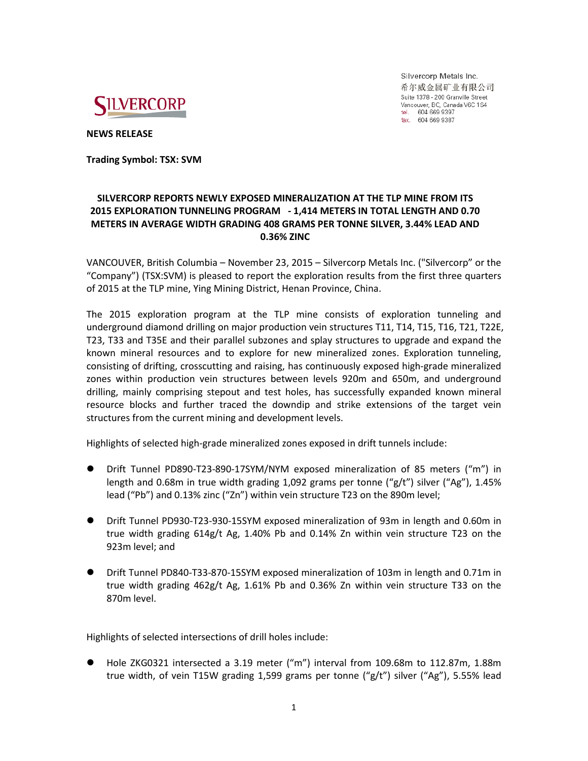

Silvercorp Metals Inc. 希尔威金属矿业有限公司 Suite 1378 - 200 Granville Street Vancouver, BC, Canada V6C 1S4 tel. 604 669 9397 fax. 604 669 9387

**NEWS RELEASE**

**Trading Symbol: TSX: SVM**

# **SILVERCORP REPORTS NEWLY EXPOSED MINERALIZATION AT THE TLP MINE FROM ITS 2015 EXPLORATION TUNNELING PROGRAM - 1,414 METERS IN TOTAL LENGTH AND 0.70 METERS IN AVERAGE WIDTH GRADING 408 GRAMS PER TONNE SILVER, 3.44% LEAD AND 0.36% ZINC**

VANCOUVER, British Columbia – November 23, 2015 – Silvercorp Metals Inc. ("Silvercorp" or the "Company") (TSX:SVM) is pleased to report the exploration results from the first three quarters of 2015 at the TLP mine, Ying Mining District, Henan Province, China.

The 2015 exploration program at the TLP mine consists of exploration tunneling and underground diamond drilling on major production vein structures T11, T14, T15, T16, T21, T22E, T23, T33 and T35E and their parallel subzones and splay structures to upgrade and expand the known mineral resources and to explore for new mineralized zones. Exploration tunneling, consisting of drifting, crosscutting and raising, has continuously exposed high-grade mineralized zones within production vein structures between levels 920m and 650m, and underground drilling, mainly comprising stepout and test holes, has successfully expanded known mineral resource blocks and further traced the downdip and strike extensions of the target vein structures from the current mining and development levels.

Highlights of selected high-grade mineralized zones exposed in drift tunnels include:

- Drift Tunnel PD890-T23-890-17SYM/NYM exposed mineralization of 85 meters ("m") in length and 0.68m in true width grading 1,092 grams per tonne (" $g/t$ ") silver ("Ag"), 1.45% lead ("Pb") and 0.13% zinc ("Zn") within vein structure T23 on the 890m level;
- Drift Tunnel PD930-T23-930-15SYM exposed mineralization of 93m in length and 0.60m in true width grading 614g/t Ag, 1.40% Pb and 0.14% Zn within vein structure T23 on the 923m level; and
- Drift Tunnel PD840-T33-870-15SYM exposed mineralization of 103m in length and 0.71m in true width grading 462g/t Ag, 1.61% Pb and 0.36% Zn within vein structure T33 on the 870m level.

Highlights of selected intersections of drill holes include:

 Hole ZKG0321 intersected a 3.19 meter ("m") interval from 109.68m to 112.87m, 1.88m true width, of vein T15W grading 1,599 grams per tonne ("g/t") silver ("Ag"), 5.55% lead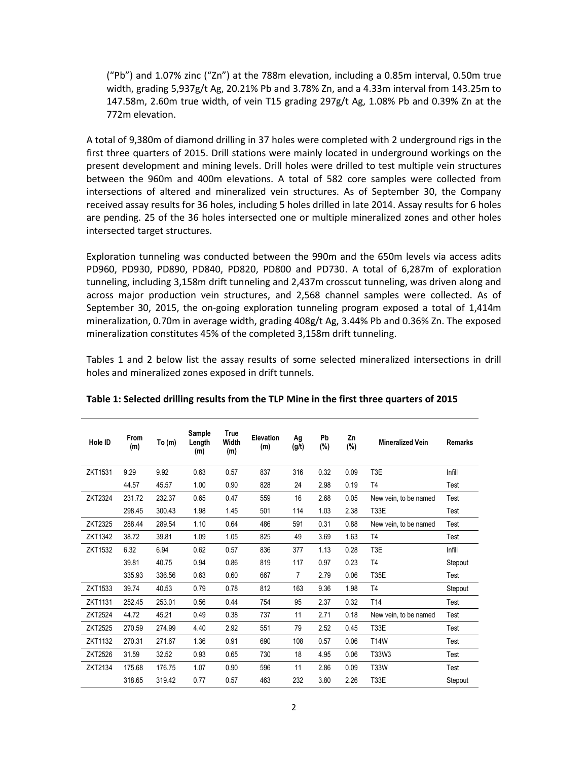("Pb") and 1.07% zinc ("Zn") at the 788m elevation, including a 0.85m interval, 0.50m true width, grading 5,937g/t Ag, 20.21% Pb and 3.78% Zn, and a 4.33m interval from 143.25m to 147.58m, 2.60m true width, of vein T15 grading 297g/t Ag, 1.08% Pb and 0.39% Zn at the 772m elevation.

A total of 9,380m of diamond drilling in 37 holes were completed with 2 underground rigs in the first three quarters of 2015. Drill stations were mainly located in underground workings on the present development and mining levels. Drill holes were drilled to test multiple vein structures between the 960m and 400m elevations. A total of 582 core samples were collected from intersections of altered and mineralized vein structures. As of September 30, the Company received assay results for 36 holes, including 5 holes drilled in late 2014. Assay results for 6 holes are pending. 25 of the 36 holes intersected one or multiple mineralized zones and other holes intersected target structures.

Exploration tunneling was conducted between the 990m and the 650m levels via access adits PD960, PD930, PD890, PD840, PD820, PD800 and PD730. A total of 6,287m of exploration tunneling, including 3,158m drift tunneling and 2,437m crosscut tunneling, was driven along and across major production vein structures, and 2,568 channel samples were collected. As of September 30, 2015, the on-going exploration tunneling program exposed a total of 1,414m mineralization, 0.70m in average width, grading 408g/t Ag, 3.44% Pb and 0.36% Zn. The exposed mineralization constitutes 45% of the completed 3,158m drift tunneling.

Tables 1 and 2 below list the assay results of some selected mineralized intersections in drill holes and mineralized zones exposed in drift tunnels.

| Hole ID        | From<br>(m) | To $(m)$ | Sample<br>Length<br>(m) | <b>True</b><br>Width<br>(m) | <b>Elevation</b><br>(m) | Ag<br>(g/t) | Pb<br>$(\%)$ | Zn<br>$(\%)$ | <b>Mineralized Vein</b> | <b>Remarks</b> |
|----------------|-------------|----------|-------------------------|-----------------------------|-------------------------|-------------|--------------|--------------|-------------------------|----------------|
| ZKT1531        | 9.29        | 9.92     | 0.63                    | 0.57                        | 837                     | 316         | 0.32         | 0.09         | T3E                     | Infill         |
|                | 44.57       | 45.57    | 1.00                    | 0.90                        | 828                     | 24          | 2.98         | 0.19         | T <sub>4</sub>          | Test           |
| ZKT2324        | 231.72      | 232.37   | 0.65                    | 0.47                        | 559                     | 16          | 2.68         | 0.05         | New vein, to be named   | Test           |
|                | 298.45      | 300.43   | 1.98                    | 1.45                        | 501                     | 114         | 1.03         | 2.38         | <b>T33E</b>             | Test           |
| ZKT2325        | 288.44      | 289.54   | 1.10                    | 0.64                        | 486                     | 591         | 0.31         | 0.88         | New vein, to be named   | Test           |
| ZKT1342        | 38.72       | 39.81    | 1.09                    | 1.05                        | 825                     | 49          | 3.69         | 1.63         | T <sub>4</sub>          | Test           |
| <b>ZKT1532</b> | 6.32        | 6.94     | 0.62                    | 0.57                        | 836                     | 377         | 1.13         | 0.28         | T3E                     | Infill         |
|                | 39.81       | 40.75    | 0.94                    | 0.86                        | 819                     | 117         | 0.97         | 0.23         | T <sub>4</sub>          | Stepout        |
|                | 335.93      | 336.56   | 0.63                    | 0.60                        | 667                     | 7           | 2.79         | 0.06         | <b>T35E</b>             | Test           |
| ZKT1533        | 39.74       | 40.53    | 0.79                    | 0.78                        | 812                     | 163         | 9.36         | 1.98         | T <sub>4</sub>          | Stepout        |
| <b>ZKT1131</b> | 252.45      | 253.01   | 0.56                    | 0.44                        | 754                     | 95          | 2.37         | 0.32         | T <sub>14</sub>         | Test           |
| <b>ZKT2524</b> | 44.72       | 45.21    | 0.49                    | 0.38                        | 737                     | 11          | 2.71         | 0.18         | New vein, to be named   | Test           |
| <b>ZKT2525</b> | 270.59      | 274.99   | 4.40                    | 2.92                        | 551                     | 79          | 2.52         | 0.45         | <b>T33E</b>             | Test           |
| ZKT1132        | 270.31      | 271.67   | 1.36                    | 0.91                        | 690                     | 108         | 0.57         | 0.06         | <b>T14W</b>             | Test           |
| ZKT2526        | 31.59       | 32.52    | 0.93                    | 0.65                        | 730                     | 18          | 4.95         | 0.06         | T33W3                   | Test           |
| ZKT2134        | 175.68      | 176.75   | 1.07                    | 0.90                        | 596                     | 11          | 2.86         | 0.09         | <b>T33W</b>             | Test           |
|                | 318.65      | 319.42   | 0.77                    | 0.57                        | 463                     | 232         | 3.80         | 2.26         | <b>T33E</b>             | Stepout        |

**Table 1: Selected drilling results from the TLP Mine in the first three quarters of 2015**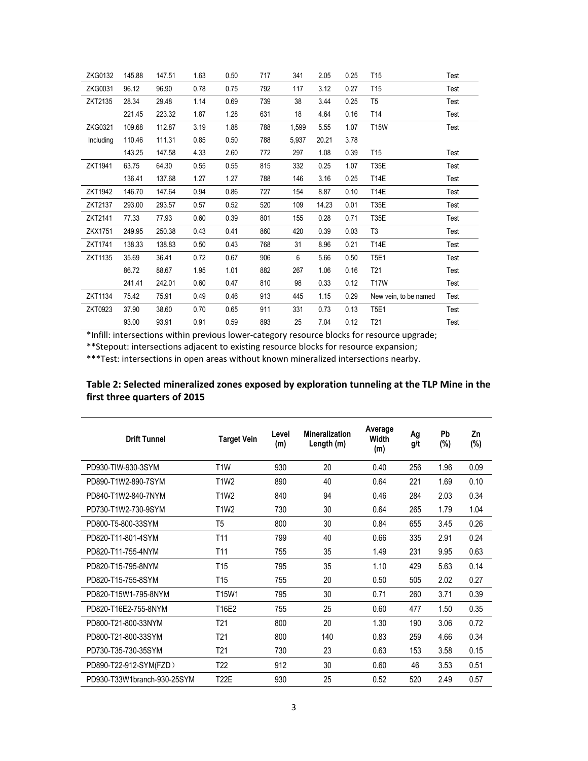| ZKG0132   | 145.88 | 147.51 | 1.63 | 0.50 | 717 | 341   | 2.05  | 0.25 | T <sub>15</sub>       | Test |
|-----------|--------|--------|------|------|-----|-------|-------|------|-----------------------|------|
| ZKG0031   | 96.12  | 96.90  | 0.78 | 0.75 | 792 | 117   | 3.12  | 0.27 | T <sub>15</sub>       | Test |
| ZKT2135   | 28.34  | 29.48  | 1.14 | 0.69 | 739 | 38    | 3.44  | 0.25 | T <sub>5</sub>        | Test |
|           | 221.45 | 223.32 | 1.87 | 1.28 | 631 | 18    | 4.64  | 0.16 | T14                   | Test |
| ZKG0321   | 109.68 | 112.87 | 3.19 | 1.88 | 788 | 1,599 | 5.55  | 1.07 | <b>T15W</b>           | Test |
| Including | 110.46 | 111.31 | 0.85 | 0.50 | 788 | 5,937 | 20.21 | 3.78 |                       |      |
|           | 143.25 | 147.58 | 4.33 | 2.60 | 772 | 297   | 1.08  | 0.39 | T15                   | Test |
| ZKT1941   | 63.75  | 64.30  | 0.55 | 0.55 | 815 | 332   | 0.25  | 1.07 | <b>T35E</b>           | Test |
|           | 136.41 | 137.68 | 1.27 | 1.27 | 788 | 146   | 3.16  | 0.25 | <b>T14E</b>           | Test |
| ZKT1942   | 146.70 | 147.64 | 0.94 | 0.86 | 727 | 154   | 8.87  | 0.10 | <b>T14E</b>           | Test |
| ZKT2137   | 293.00 | 293.57 | 0.57 | 0.52 | 520 | 109   | 14.23 | 0.01 | <b>T35E</b>           | Test |
| ZKT2141   | 77.33  | 77.93  | 0.60 | 0.39 | 801 | 155   | 0.28  | 0.71 | <b>T35E</b>           | Test |
| ZKX1751   | 249.95 | 250.38 | 0.43 | 0.41 | 860 | 420   | 0.39  | 0.03 | T <sub>3</sub>        | Test |
| ZKT1741   | 138.33 | 138.83 | 0.50 | 0.43 | 768 | 31    | 8.96  | 0.21 | <b>T14E</b>           | Test |
| ZKT1135   | 35.69  | 36.41  | 0.72 | 0.67 | 906 | 6     | 5.66  | 0.50 | <b>T5E1</b>           | Test |
|           | 86.72  | 88.67  | 1.95 | 1.01 | 882 | 267   | 1.06  | 0.16 | T <sub>21</sub>       | Test |
|           | 241.41 | 242.01 | 0.60 | 0.47 | 810 | 98    | 0.33  | 0.12 | <b>T17W</b>           | Test |
| ZKT1134   | 75.42  | 75.91  | 0.49 | 0.46 | 913 | 445   | 1.15  | 0.29 | New vein, to be named | Test |
| ZKT0923   | 37.90  | 38.60  | 0.70 | 0.65 | 911 | 331   | 0.73  | 0.13 | T5E1                  | Test |
|           | 93.00  | 93.91  | 0.91 | 0.59 | 893 | 25    | 7.04  | 0.12 | T <sub>21</sub>       | Test |

\*Infill: intersections within previous lower-category resource blocks for resource upgrade;

\*\*Stepout: intersections adjacent to existing resource blocks for resource expansion;

\*\*\*Test: intersections in open areas without known mineralized intersections nearby.

| <b>Drift Tunnel</b>         | <b>Target Vein</b> | Level<br>(m) | <b>Mineralization</b><br>Length (m) | Average<br>Width<br>(m) | Ag<br>g/t | Pb<br>(%) | Zn<br>$(\%)$ |
|-----------------------------|--------------------|--------------|-------------------------------------|-------------------------|-----------|-----------|--------------|
| PD930-TIW-930-3SYM          | T <sub>1</sub> W   | 930          | 20                                  | 0.40                    | 256       | 1.96      | 0.09         |
| PD890-T1W2-890-7SYM         | <b>T1W2</b>        | 890          | 40                                  | 0.64                    | 221       | 1.69      | 0.10         |
| PD840-T1W2-840-7NYM         | <b>T1W2</b>        | 840          | 94                                  | 0.46                    | 284       | 2.03      | 0.34         |
| PD730-T1W2-730-9SYM         | <b>T1W2</b>        | 730          | 30                                  | 0.64                    | 265       | 1.79      | 1.04         |
| PD800-T5-800-33SYM          | T <sub>5</sub>     | 800          | 30                                  | 0.84                    | 655       | 3.45      | 0.26         |
| PD820-T11-801-4SYM          | T <sub>11</sub>    | 799          | 40                                  | 0.66                    | 335       | 2.91      | 0.24         |
| PD820-T11-755-4NYM          | T <sub>11</sub>    | 755          | 35                                  | 1.49                    | 231       | 9.95      | 0.63         |
| PD820-T15-795-8NYM          | T15                | 795          | 35                                  | 1.10                    | 429       | 5.63      | 0.14         |
| PD820-T15-755-8SYM          | T <sub>15</sub>    | 755          | 20                                  | 0.50                    | 505       | 2.02      | 0.27         |
| PD820-T15W1-795-8NYM        | T15W1              | 795          | 30                                  | 0.71                    | 260       | 3.71      | 0.39         |
| PD820-T16E2-755-8NYM        | T16E2              | 755          | 25                                  | 0.60                    | 477       | 1.50      | 0.35         |
| PD800-T21-800-33NYM         | T <sub>21</sub>    | 800          | 20                                  | 1.30                    | 190       | 3.06      | 0.72         |
| PD800-T21-800-33SYM         | T <sub>21</sub>    | 800          | 140                                 | 0.83                    | 259       | 4.66      | 0.34         |
| PD730-T35-730-35SYM         | T <sub>21</sub>    | 730          | 23                                  | 0.63                    | 153       | 3.58      | 0.15         |
| PD890-T22-912-SYM(FZD)      | T <sub>22</sub>    | 912          | 30                                  | 0.60                    | 46        | 3.53      | 0.51         |
| PD930-T33W1branch-930-25SYM | <b>T22E</b>        | 930          | 25                                  | 0.52                    | 520       | 2.49      | 0.57         |

# **Table 2: Selected mineralized zones exposed by exploration tunneling at the TLP Mine in the first three quarters of 2015**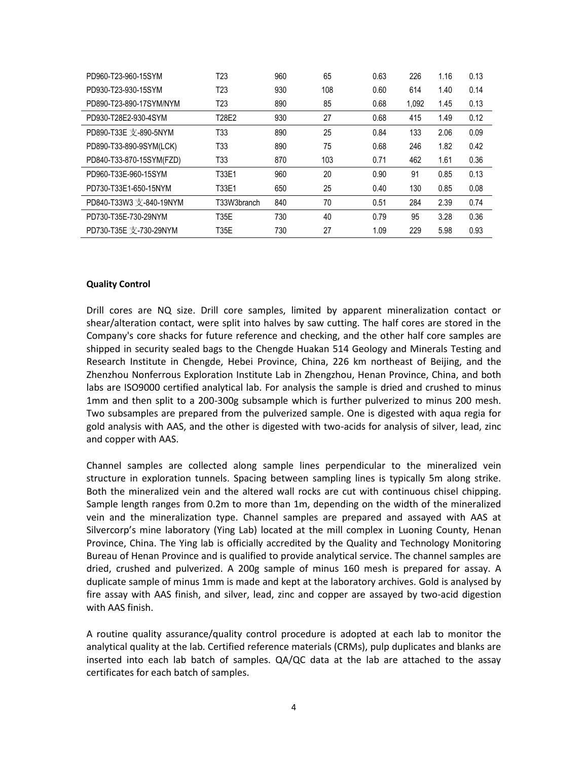| PD960-T23-960-15SYM      | T <sub>23</sub> | 960 | 65  | 0.63 | 226   | 1.16 | 0.13 |
|--------------------------|-----------------|-----|-----|------|-------|------|------|
| PD930-T23-930-15SYM      | T23             | 930 | 108 | 0.60 | 614   | 1.40 | 0.14 |
| PD890-T23-890-17SYM/NYM  | T23             | 890 | 85  | 0.68 | 1.092 | 1.45 | 0.13 |
| PD930-T28E2-930-4SYM     | T28E2           | 930 | 27  | 0.68 | 415   | 1.49 | 0.12 |
| PD890-T33E 支-890-5NYM    | T33             | 890 | 25  | 0.84 | 133   | 2.06 | 0.09 |
| PD890-T33-890-9SYM(LCK)  | T33             | 890 | 75  | 0.68 | 246   | 1.82 | 0.42 |
| PD840-T33-870-15SYM(FZD) | T33             | 870 | 103 | 0.71 | 462   | 1.61 | 0.36 |
| PD960-T33E-960-15SYM     | T33E1           | 960 | 20  | 0.90 | 91    | 0.85 | 0.13 |
| PD730-T33E1-650-15NYM    | T33E1           | 650 | 25  | 0.40 | 130   | 0.85 | 0.08 |
| PD840-T33W3 支-840-19NYM  | T33W3branch     | 840 | 70  | 0.51 | 284   | 2.39 | 0.74 |
| PD730-T35E-730-29NYM     | <b>T35E</b>     | 730 | 40  | 0.79 | 95    | 3.28 | 0.36 |
| PD730-T35E 支-730-29NYM   | T35E            | 730 | 27  | 1.09 | 229   | 5.98 | 0.93 |

#### **Quality Control**

Drill cores are NQ size. Drill core samples, limited by apparent mineralization contact or shear/alteration contact, were split into halves by saw cutting. The half cores are stored in the Company's core shacks for future reference and checking, and the other half core samples are shipped in security sealed bags to the Chengde Huakan 514 Geology and Minerals Testing and Research Institute in Chengde, Hebei Province, China, 226 km northeast of Beijing, and the Zhenzhou Nonferrous Exploration Institute Lab in Zhengzhou, Henan Province, China, and both labs are ISO9000 certified analytical lab. For analysis the sample is dried and crushed to minus 1mm and then split to a 200-300g subsample which is further pulverized to minus 200 mesh. Two subsamples are prepared from the pulverized sample. One is digested with aqua regia for gold analysis with AAS, and the other is digested with two-acids for analysis of silver, lead, zinc and copper with AAS.

Channel samples are collected along sample lines perpendicular to the mineralized vein structure in exploration tunnels. Spacing between sampling lines is typically 5m along strike. Both the mineralized vein and the altered wall rocks are cut with continuous chisel chipping. Sample length ranges from 0.2m to more than 1m, depending on the width of the mineralized vein and the mineralization type. Channel samples are prepared and assayed with AAS at Silvercorp's mine laboratory (Ying Lab) located at the mill complex in Luoning County, Henan Province, China. The Ying lab is officially accredited by the Quality and Technology Monitoring Bureau of Henan Province and is qualified to provide analytical service. The channel samples are dried, crushed and pulverized. A 200g sample of minus 160 mesh is prepared for assay. A duplicate sample of minus 1mm is made and kept at the laboratory archives. Gold is analysed by fire assay with AAS finish, and silver, lead, zinc and copper are assayed by two-acid digestion with AAS finish.

A routine quality assurance/quality control procedure is adopted at each lab to monitor the analytical quality at the lab. Certified reference materials (CRMs), pulp duplicates and blanks are inserted into each lab batch of samples. QA/QC data at the lab are attached to the assay certificates for each batch of samples.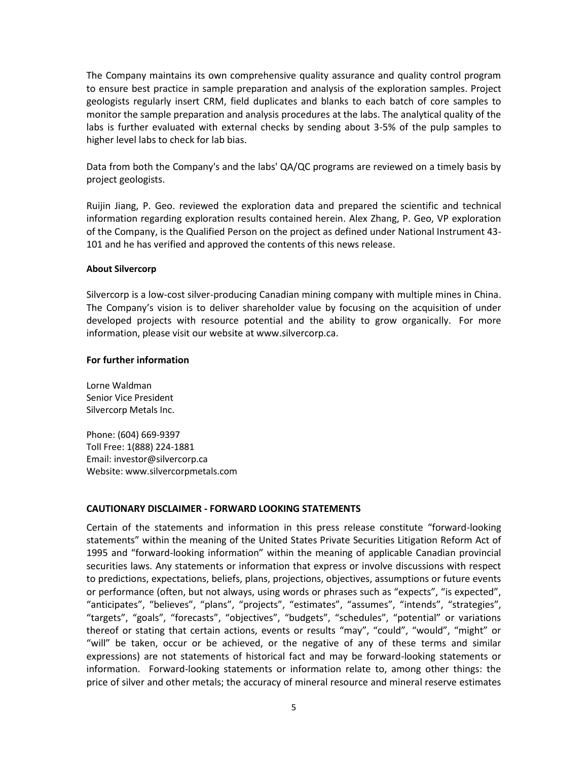The Company maintains its own comprehensive quality assurance and quality control program to ensure best practice in sample preparation and analysis of the exploration samples. Project geologists regularly insert CRM, field duplicates and blanks to each batch of core samples to monitor the sample preparation and analysis procedures at the labs. The analytical quality of the labs is further evaluated with external checks by sending about 3-5% of the pulp samples to higher level labs to check for lab bias.

Data from both the Company's and the labs' QA/QC programs are reviewed on a timely basis by project geologists.

Ruijin Jiang, P. Geo. reviewed the exploration data and prepared the scientific and technical information regarding exploration results contained herein. Alex Zhang, P. Geo, VP exploration of the Company, is the Qualified Person on the project as defined under National Instrument 43- 101 and he has verified and approved the contents of this news release.

### **About Silvercorp**

Silvercorp is a low-cost silver-producing Canadian mining company with multiple mines in China. The Company's vision is to deliver shareholder value by focusing on the acquisition of under developed projects with resource potential and the ability to grow organically. For more information, please visit our website at www.silvercorp.ca.

### **For further information**

Lorne Waldman Senior Vice President Silvercorp Metals Inc.

Phone: (604) 669-9397 Toll Free: 1(888) 224-1881 Email: investor@silvercorp.ca Website: www.silvercorpmetals.com

# **CAUTIONARY DISCLAIMER - FORWARD LOOKING STATEMENTS**

Certain of the statements and information in this press release constitute "forward-looking statements" within the meaning of the United States Private Securities Litigation Reform Act of 1995 and "forward-looking information" within the meaning of applicable Canadian provincial securities laws. Any statements or information that express or involve discussions with respect to predictions, expectations, beliefs, plans, projections, objectives, assumptions or future events or performance (often, but not always, using words or phrases such as "expects", "is expected", "anticipates", "believes", "plans", "projects", "estimates", "assumes", "intends", "strategies", "targets", "goals", "forecasts", "objectives", "budgets", "schedules", "potential" or variations thereof or stating that certain actions, events or results "may", "could", "would", "might" or "will" be taken, occur or be achieved, or the negative of any of these terms and similar expressions) are not statements of historical fact and may be forward-looking statements or information. Forward-looking statements or information relate to, among other things: the price of silver and other metals; the accuracy of mineral resource and mineral reserve estimates